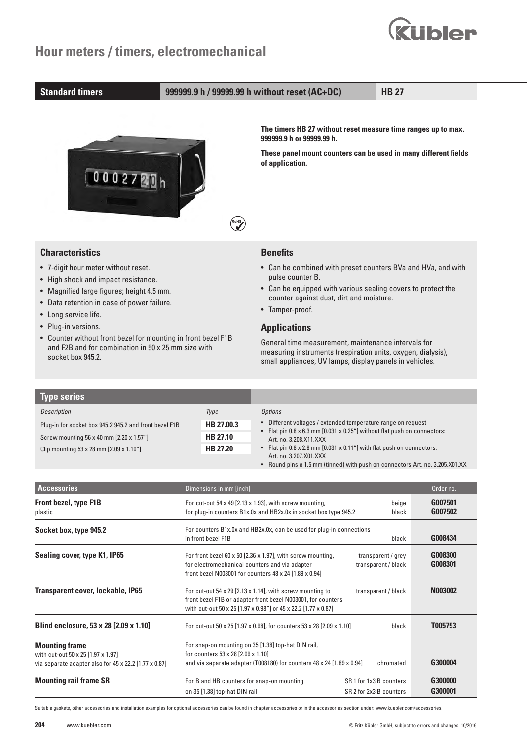

#### **Standard timers 999999.9 h / 99999.99 h without reset (AC+DC) HB 27**

**RoHS**



**The timers HB 27 without reset measure time ranges up to max. 999999.9 h or 99999.99 h.**

**These panel mount counters can be used in many different fields of application.**

#### **Characteristics**

- 7-digit hour meter without reset.
- High shock and impact resistance.
- Magnified large figures; height 4.5 mm.
- Data retention in case of power failure.
- Long service life.
- Plug-in versions.
- Counter without front bezel for mounting in front bezel F1B and F2B and for combination in 50 x 25 mm size with socket box 945.2.

#### **Benefits**

- Can be combined with preset counters BVa and HVa, and with pulse counter B.
- Can be equipped with various sealing covers to protect the counter against dust, dirt and moisture.
- Tamper-proof.

### **Applications**

General time measurement, maintenance intervals for measuring instruments (respiration units, oxygen, dialysis), small appliances, UV lamps, display panels in vehicles.

| <b>Type series</b>                                       |            |                                                                                                  |
|----------------------------------------------------------|------------|--------------------------------------------------------------------------------------------------|
| Description                                              | Type       | <i>Options</i>                                                                                   |
| Plug-in for socket box 945.2 945.2 and front bezel F1B   | HB 27.00.3 | • Different voltages / extended temperature range on request                                     |
| HB 27.10<br>Screw mounting 56 x 40 mm [2.20 x 1.57"]     |            | Flat pin 0.8 x 6.3 mm [0.031 x 0.25"] without flat push on connectors:<br>Art. no. 3.208.X11.XXX |
| Clip mounting $53 \times 28$ mm $[2.09 \times 1.10^{4}]$ | HB 27.20   | • Flat pin 0.8 x 2.8 mm [0.031 x 0.11"] with flat push on connectors:                            |
|                                                          |            | Art. no. 3.207.X01.XXX                                                                           |

| • Round pins ø 1.5 mm (tinned) with push on connectors Art. no. 3.205.X01.XX |  |  |
|------------------------------------------------------------------------------|--|--|
|                                                                              |  |  |

| <b>Accessories</b>                                                                                                   | Dimensions in mm [inch]                                                                                                                                                                     |                                                    | Order no.          |
|----------------------------------------------------------------------------------------------------------------------|---------------------------------------------------------------------------------------------------------------------------------------------------------------------------------------------|----------------------------------------------------|--------------------|
| <b>Front bezel, type F1B</b><br>plastic                                                                              | For cut-out 54 x 49 $[2.13 \times 1.93]$ , with screw mounting,<br>for plug-in counters B1x.0x and HB2x.0x in socket box type 945.2                                                         | G007501<br>G007502                                 |                    |
| Socket box, type 945.2                                                                                               | For counters B1x.0x and HB2x.0x, can be used for plug-in connections<br>in front bezel F1B                                                                                                  | G008434                                            |                    |
| Sealing cover, type K1, IP65                                                                                         | For front bezel 60 x 50 $[2.36 \times 1.97]$ , with screw mounting,<br>for electromechanical counters and via adapter<br>front bezel N003001 for counters 48 x 24 [1.89 x 0.94]             | transparent / grey<br>transparent / black          | G008300<br>G008301 |
| Transparent cover, lockable, IP65                                                                                    | For cut-out 54 x 29 [2.13 x 1.14], with screw mounting to<br>front bezel F1B or adapter front bezel N003001, for counters<br>with cut-out 50 x 25 [1.97 x 0.98"] or 45 x 22.2 [1.77 x 0.87] | transparent / black                                | N003002            |
| Blind enclosure, 53 x 28 [2.09 x 1.10]                                                                               | For cut-out 50 x 25 [1.97 x 0.98], for counters 53 x 28 [2.09 x 1.10]                                                                                                                       | black                                              | T005753            |
| <b>Mounting frame</b><br>with cut-out 50 x 25 [1.97 x 1.97]<br>via separate adapter also for 45 x 22.2 [1.77 x 0.87] | For snap-on mounting on 35 [1.38] top-hat DIN rail,<br>for counters 53 x 28 [2.09 x 1.10]<br>and via separate adapter (T008180) for counters 48 x 24 [1.89 x 0.94]                          | chromated                                          | G300004            |
| <b>Mounting rail frame SR</b>                                                                                        | For B and HB counters for snap-on mounting<br>on 35 [1.38] top-hat DIN rail                                                                                                                 | SR 1 for 1x3 B counters<br>SR 2 for 2x3 B counters | G300000<br>G300001 |

Suitable gaskets, other accessories and installation examples for optional accessories can be found in chapter accessories or in the accessories section under: www.kuebler.com/accessories.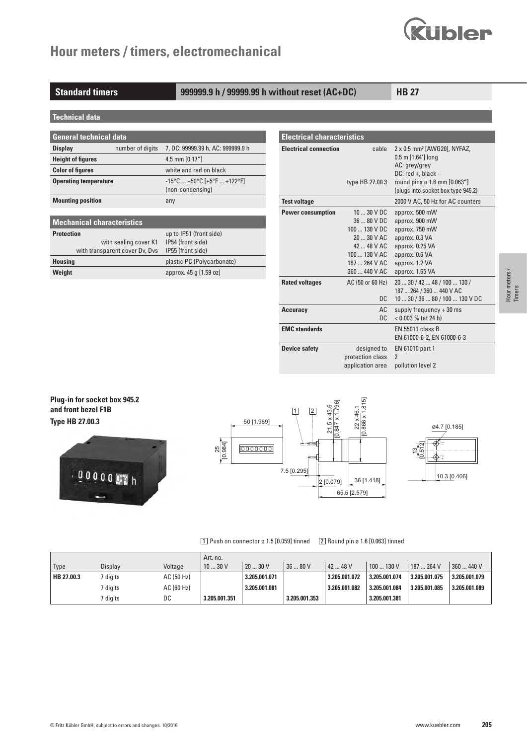

#### **Standard timers 999999.9 h / 99999.99 h without reset (AC+DC) HB 27**

**Technical data**

| General technical data       |                  |                                                                                            |  |  |  |  |  |  |
|------------------------------|------------------|--------------------------------------------------------------------------------------------|--|--|--|--|--|--|
| <b>Display</b>               | number of digits | 7, DC: 99999.99 h, AC: 999999.9 h                                                          |  |  |  |  |  |  |
| <b>Height of figures</b>     |                  | 4.5 mm $[0.17"$                                                                            |  |  |  |  |  |  |
| <b>Color of figures</b>      |                  | white and red on black                                                                     |  |  |  |  |  |  |
| <b>Operating temperature</b> |                  | $-15^{\circ}$ C  +50 $^{\circ}$ C [+5 $^{\circ}$ F  +122 $^{\circ}$ F]<br>(non-condensing) |  |  |  |  |  |  |
| <b>Mounting position</b>     |                  | any                                                                                        |  |  |  |  |  |  |

| <b>Mechanical characteristics</b> |                            |  |  |  |  |  |  |
|-----------------------------------|----------------------------|--|--|--|--|--|--|
| <b>Protection</b>                 | up to IP51 (front side)    |  |  |  |  |  |  |
| with sealing cover K1             | IP54 (front side)          |  |  |  |  |  |  |
| with transparent cover Dv, Dvs    | IP55 (front side)          |  |  |  |  |  |  |
| <b>Housing</b>                    | plastic PC (Polycarbonate) |  |  |  |  |  |  |
| Weight                            | approx. 45 g [1.59 oz]     |  |  |  |  |  |  |

| <b>Electrical characteristics</b> |                                                                                                                              |                                                                                                                                                                                                 |  |  |  |  |  |
|-----------------------------------|------------------------------------------------------------------------------------------------------------------------------|-------------------------------------------------------------------------------------------------------------------------------------------------------------------------------------------------|--|--|--|--|--|
| <b>Electrical connection</b>      | cable<br>type HB 27.00.3                                                                                                     | 2 x 0.5 mm <sup>2</sup> [AWG20], NYFAZ,<br>$0.5$ m $[1.64']$ long<br>AC: grey/grey<br>$DC: red +, black -$<br>round pins $\varnothing$ 1.6 mm $[0.063'']$<br>(plugs into socket box type 945.2) |  |  |  |  |  |
| <b>Test voltage</b>               |                                                                                                                              | 2000 V AC, 50 Hz for AC counters                                                                                                                                                                |  |  |  |  |  |
| <b>Power consumption</b>          | $1030$ V DC<br>36  80 V DC<br>$100130$ V DC<br>$2030$ V AC<br>42  48 V AC<br>100  130 V AC<br>187  264 V AC<br>360  440 V AC | approx. 500 mW<br>approx. 900 mW<br>approx. 750 mW<br>approx. 0.3 VA<br>approx. 0.25 VA<br>approx. 0.6 VA<br>approx. 1.2 VA<br>approx. 1.65 VA                                                  |  |  |  |  |  |
| <b>Rated voltages</b>             | AC (50 or 60 Hz)<br>DC.                                                                                                      | 20  30 / 42  48 / 100  130 /<br>187  264 / 360  440 V AC<br>10  30 / 36  80 / 100  130 V DC                                                                                                     |  |  |  |  |  |
| <b>Accuracy</b>                   | AC<br>DC.                                                                                                                    | supply frequency $+30$ ms<br>$< 0.003 \%$ (at 24 h)                                                                                                                                             |  |  |  |  |  |
| <b>EMC</b> standards              |                                                                                                                              | EN 55011 class B<br>EN 61000-6-2, EN 61000-6-3                                                                                                                                                  |  |  |  |  |  |
| <b>Device safety</b>              | designed to<br>protection class<br>application area                                                                          | EN 61010 part 1<br>$\mathfrak{p}$<br>pollution level 2                                                                                                                                          |  |  |  |  |  |

**Plug-in for socket box 945.2 and front bezel F1B Type HB 27.00.3**





#### 1 Push on connector ø 1.5 [0.059] tinned 2 Round pin ø 1.6 [0.063] tinned

|            |          |            | Art. no.      |               |               |               |               |               |               |
|------------|----------|------------|---------------|---------------|---------------|---------------|---------------|---------------|---------------|
| Type       | Display  | Voltage    | 1030V         | 2030V         | 36  80 V      | 4248V         | 100  130 V    | 187  264 V    | 360  440 V    |
| HB 27.00.3 | digits   | AC (50 Hz) |               | 3.205.001.071 |               | 3.205.001.072 | 3.205.001.074 | 3.205.001.075 | 3.205.001.079 |
|            | ' diaits | AC (60 Hz) |               | 3.205.001.081 |               | 3.205.001.082 | 3.205.001.084 | 3.205.001.085 | 3.205.001.089 |
|            | digits   | DC         | 3.205.001.351 |               | 3.205.001.353 |               | 3.205.001.381 |               |               |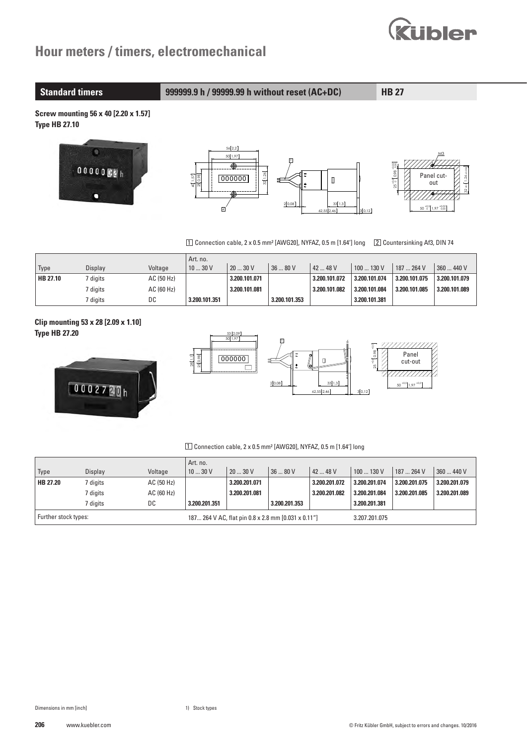

**Standard timers 999999.9 h / 99999.99 h without reset (AC+DC) HB 27**

**Screw mounting 56 x 40 [2.20 x 1.57] Type HB 27.10**



1 Connection cable, 2 x 0.5 mm² [AWG20], NYFAZ, 0.5 m [1.64'] long 2 Countersinking Af3, DIN 74

|                 |          |            | Art. no.      |               |               |               |               |               |               |
|-----------------|----------|------------|---------------|---------------|---------------|---------------|---------------|---------------|---------------|
| Type            | Displav  | Voltage    | 1030V         | 20  30 V      | 36  80 V      | 42  48 V      | 100  130 V    | 187  264 V    | 360  440 V    |
| <b>HB 27.10</b> | ' digits | AC (50 Hz) |               | 3.200.101.071 |               | 3.200.101.072 | 3.200.101.074 | 3.200.101.075 | 3.200.101.079 |
|                 | ' diaits | AC(60 Hz)  |               | 3.200.101.081 |               | 3.200.101.082 | 3.200.101.084 | 3.200.101.085 | 3.200.101.089 |
|                 | / digits | DC         | 3.200.101.351 |               | 3.200.101.353 |               | 3.200.101.381 |               |               |

**Clip mounting 53 x 28 [2.09 x 1.10] Type HB 27.20**





#### 1 Connection cable, 2 x 0.5 mm² [AWG20], NYFAZ, 0.5 m [1.64'] long

|                      |          |            | Art. no.                                            |               |               |               |               |               |               |
|----------------------|----------|------------|-----------------------------------------------------|---------------|---------------|---------------|---------------|---------------|---------------|
| Type                 | Display  | Voltage    | 1030V                                               | 12030V        | 3680V         | $4248$ V      | 100130V       | 187  264 V    | 360  440 V    |
| HB 27.20             | 7 digits | AC (50 Hz) |                                                     | 3.200.201.071 |               | 3.200.201.072 | 3.200.201.074 | 3.200.201.075 | 3.200.201.079 |
|                      | 7 digits | AC(60 Hz)  |                                                     | 3.200.201.081 |               | 3.200.201.082 | 3.200.201.084 | 3.200.201.085 | 3.200.201.089 |
|                      | 7 digits | DC         | 3.200.201.351                                       |               | 3.200.201.353 |               | 3.200.201.381 |               |               |
| Further stock types: |          |            | 187 264 V AC, flat pin 0.8 x 2.8 mm [0.031 x 0.11"] |               |               |               | 3.207.201.075 |               |               |